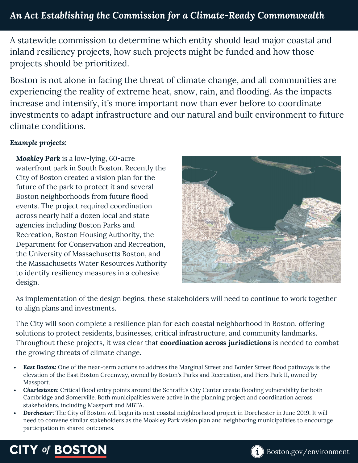A statewide commission to determine which entity should lead major coastal and inland resiliency projects, how such projects might be funded and how those projects should be prioritized.

Boston is not alone in facing the threat of climate change, and all communities are experiencing the reality of extreme heat, snow, rain, and flooding. As the impacts increase and intensify, it's more important now than ever before to coordinate investments to adapt infrastructure and our natural and built environment to future climate conditions.

## *Example projects:*

*Moakley Park* is a low-lying, 60-acre waterfront park in South Boston. Recently the City of Boston created a vision plan for the future of the park to protect it and several Boston neighborhoods from future flood events. The project required coordination across nearly half a dozen local and state agencies including Boston Parks and Recreation, Boston Housing Authority, the Department for Conservation and Recreation, the University of Massachusetts Boston, and the Massachusetts Water Resources Authority to identify resiliency measures in a cohesive design.



As implementation of the design begins, these stakeholders will need to continue to work together to align plans and investments.

The City will soon complete a resilience plan for each coastal neighborhood in Boston, offering solutions to protect residents, businesses, critical infrastructure, and community landmarks. Throughout these projects, it was clear that **coordination across jurisdictions** is needed to combat the growing threats of climate change.

- *East Boston:* One of the near-term actions to address the Marginal Street and Border Street flood pathways is the elevation of the East Boston Greenway, owned by Boston's Parks and Recreation, and Piers Park II, owned by Massport.
- *Charlestown:* Critical flood entry points around the Schrafft's City Center create flooding vulnerability for both Cambridge and Somerville. Both municipalities were active in the planning project and coordination across stakeholders, including Massport and MBTA.
- *Dorchester:* The City of Boston will begin its next coastal neighborhood project in Dorchester in June 2019. It will need to convene similar stakeholders as the Moakley Park vision plan and neighboring municipalities to encourage participation in shared outcomes.

## **CITY of BOSTON**